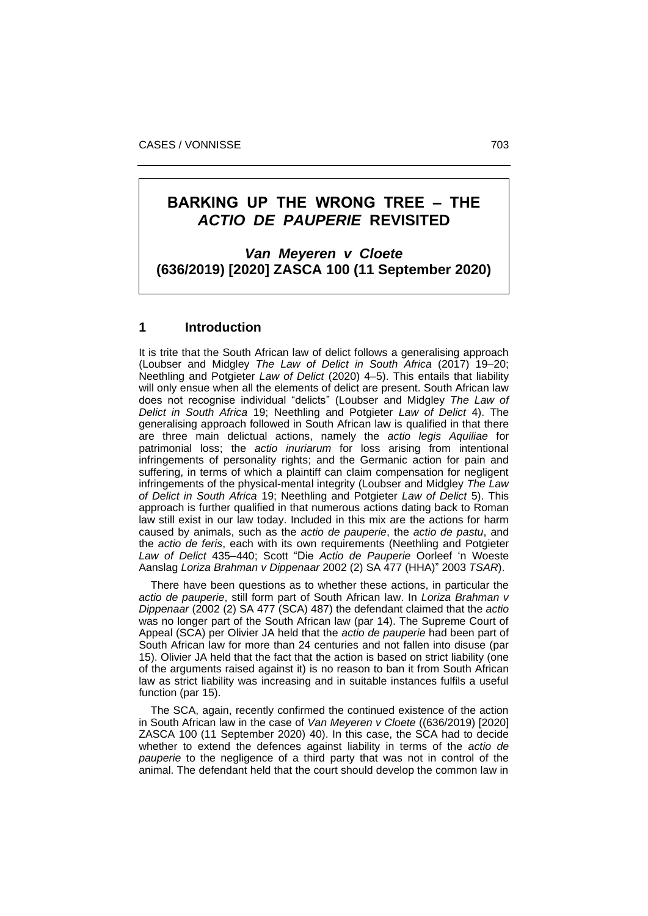# **BARKING UP THE WRONG TREE ‒ THE**  *ACTIO DE PAUPERIE* **REVISITED**

*Van Meyeren v Cloete* **(636/2019) [2020] ZASCA 100 (11 September 2020)**

## **1 Introduction**

It is trite that the South African law of delict follows a generalising approach (Loubser and Midgley *The Law of Delict in South Africa* (2017) 19–20; Neethling and Potgieter *Law of Delict* (2020) 4–5). This entails that liability will only ensue when all the elements of delict are present. South African law does not recognise individual "delicts" (Loubser and Midgley *The Law of Delict in South Africa* 19; Neethling and Potgieter *Law of Delict* 4). The generalising approach followed in South African law is qualified in that there are three main delictual actions, namely the *actio legis Aquiliae* for patrimonial loss; the *actio inuriarum* for loss arising from intentional infringements of personality rights; and the Germanic action for pain and suffering, in terms of which a plaintiff can claim compensation for negligent infringements of the physical-mental integrity (Loubser and Midgley *The Law of Delict in South Africa* 19; Neethling and Potgieter *Law of Delict* 5). This approach is further qualified in that numerous actions dating back to Roman law still exist in our law today. Included in this mix are the actions for harm caused by animals, such as the *actio de pauperie*, the *actio de pastu*, and the *actio de feris*, each with its own requirements (Neethling and Potgieter *Law of Delict* 435–440; Scott "Die *Actio de Pauperie* Oorleef 'n Woeste Aanslag *Loriza Brahman v Dippenaar* 2002 (2) SA 477 (HHA)" 2003 *TSAR*).

 There have been questions as to whether these actions, in particular the *actio de pauperie*, still form part of South African law. In *Loriza Brahman v Dippenaar* (2002 (2) SA 477 (SCA) 487) the defendant claimed that the *actio*  was no longer part of the South African law (par 14). The Supreme Court of Appeal (SCA) per Olivier JA held that the *actio de pauperie* had been part of South African law for more than 24 centuries and not fallen into disuse (par 15). Olivier JA held that the fact that the action is based on strict liability (one of the arguments raised against it) is no reason to ban it from South African law as strict liability was increasing and in suitable instances fulfils a useful function (par 15).

 The SCA, again, recently confirmed the continued existence of the action in South African law in the case of *Van Meyeren v Cloete* ((636/2019) [2020] ZASCA 100 (11 September 2020) 40). In this case, the SCA had to decide whether to extend the defences against liability in terms of the *actio de pauperie* to the negligence of a third party that was not in control of the animal. The defendant held that the court should develop the common law in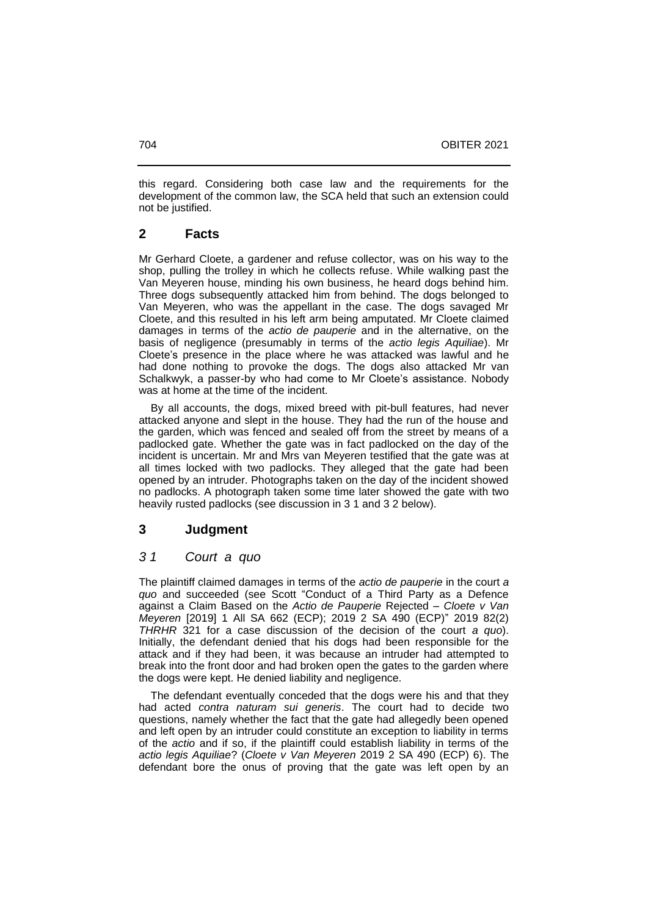this regard. Considering both case law and the requirements for the development of the common law, the SCA held that such an extension could not be justified.

# **2 Facts**

Mr Gerhard Cloete, a gardener and refuse collector, was on his way to the shop, pulling the trolley in which he collects refuse. While walking past the Van Meyeren house, minding his own business, he heard dogs behind him. Three dogs subsequently attacked him from behind. The dogs belonged to Van Meyeren, who was the appellant in the case. The dogs savaged Mr Cloete, and this resulted in his left arm being amputated. Mr Cloete claimed damages in terms of the *actio de pauperie* and in the alternative, on the basis of negligence (presumably in terms of the *actio legis Aquiliae*). Mr Cloete's presence in the place where he was attacked was lawful and he had done nothing to provoke the dogs. The dogs also attacked Mr van Schalkwyk, a passer-by who had come to Mr Cloete's assistance. Nobody was at home at the time of the incident.

 By all accounts, the dogs, mixed breed with pit-bull features, had never attacked anyone and slept in the house. They had the run of the house and the garden, which was fenced and sealed off from the street by means of a padlocked gate. Whether the gate was in fact padlocked on the day of the incident is uncertain. Mr and Mrs van Meyeren testified that the gate was at all times locked with two padlocks. They alleged that the gate had been opened by an intruder. Photographs taken on the day of the incident showed no padlocks. A photograph taken some time later showed the gate with two heavily rusted padlocks (see discussion in 3 1 and 3 2 below).

# **3 Judgment**

# *3 1 Court a quo*

The plaintiff claimed damages in terms of the *actio de pauperie* in the court *a quo* and succeeded (see Scott "Conduct of a Third Party as a Defence against a Claim Based on the *Actio de Pauperie* Rejected ‒ *Cloete v Van Meyeren* [2019] 1 All SA 662 (ECP); 2019 2 SA 490 (ECP)" 2019 82(2) *THRHR* 321 for a case discussion of the decision of the court *a quo*). Initially, the defendant denied that his dogs had been responsible for the attack and if they had been, it was because an intruder had attempted to break into the front door and had broken open the gates to the garden where the dogs were kept. He denied liability and negligence.

 The defendant eventually conceded that the dogs were his and that they had acted *contra naturam sui generis*. The court had to decide two questions, namely whether the fact that the gate had allegedly been opened and left open by an intruder could constitute an exception to liability in terms of the *actio* and if so, if the plaintiff could establish liability in terms of the *actio legis Aquiliae*? (*Cloete v Van Meyeren* 2019 2 SA 490 (ECP) 6). The defendant bore the onus of proving that the gate was left open by an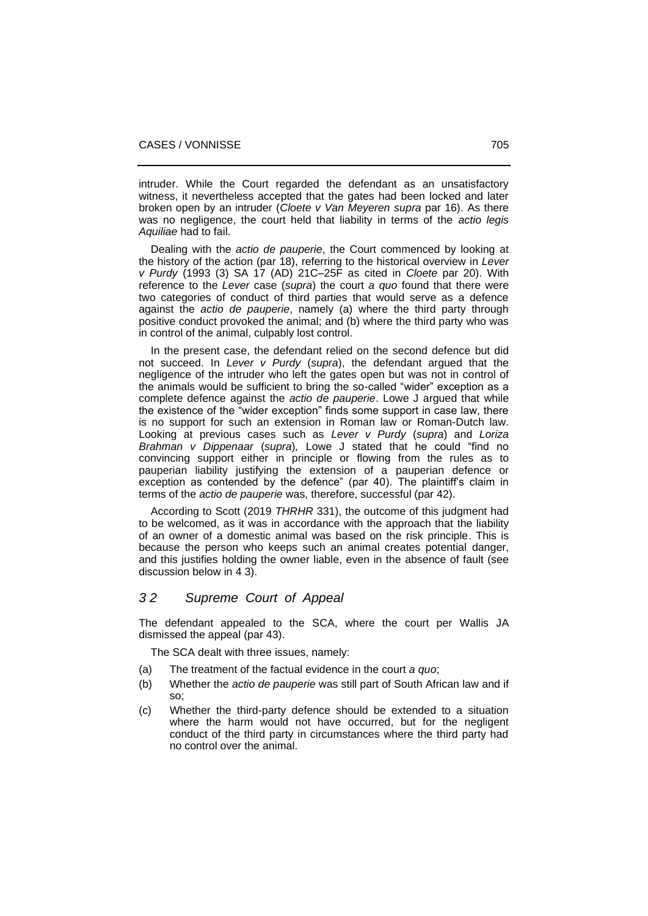intruder. While the Court regarded the defendant as an unsatisfactory witness, it nevertheless accepted that the gates had been locked and later broken open by an intruder (*Cloete v Van Meyeren supra* par 16). As there was no negligence, the court held that liability in terms of the *actio legis Aquiliae* had to fail.

 Dealing with the *actio de pauperie*, the Court commenced by looking at the history of the action (par 18), referring to the historical overview in *Lever v Purdy* (1993 (3) SA 17 (AD) 21C‒25F as cited in *Cloete* par 20). With reference to the *Lever* case (*supra*) the court *a quo* found that there were two categories of conduct of third parties that would serve as a defence against the *actio de pauperie*, namely (a) where the third party through positive conduct provoked the animal; and (b) where the third party who was in control of the animal, culpably lost control.

 In the present case, the defendant relied on the second defence but did not succeed. In *Lever v Purdy* (*supra*), the defendant argued that the negligence of the intruder who left the gates open but was not in control of the animals would be sufficient to bring the so-called "wider" exception as a complete defence against the *actio de pauperie*. Lowe J argued that while the existence of the "wider exception" finds some support in case law, there is no support for such an extension in Roman law or Roman-Dutch law. Looking at previous cases such as *Lever v Purdy* (*supra*) and *Loriza Brahman v Dippenaar* (*supra*)*,* Lowe J stated that he could "find no convincing support either in principle or flowing from the rules as to pauperian liability justifying the extension of a pauperian defence or exception as contended by the defence" (par 40). The plaintiff's claim in terms of the *actio de pauperie* was, therefore, successful (par 42).

 According to Scott (2019 *THRHR* 331), the outcome of this judgment had to be welcomed, as it was in accordance with the approach that the liability of an owner of a domestic animal was based on the risk principle. This is because the person who keeps such an animal creates potential danger, and this justifies holding the owner liable, even in the absence of fault (see discussion below in 4 3).

## *3 2 Supreme Court of Appeal*

The defendant appealed to the SCA, where the court per Wallis JA dismissed the appeal (par 43).

The SCA dealt with three issues, namely:

- (a) The treatment of the factual evidence in the court *a quo*;
- (b) Whether the *actio de pauperie* was still part of South African law and if so;
- (c) Whether the third-party defence should be extended to a situation where the harm would not have occurred, but for the negligent conduct of the third party in circumstances where the third party had no control over the animal.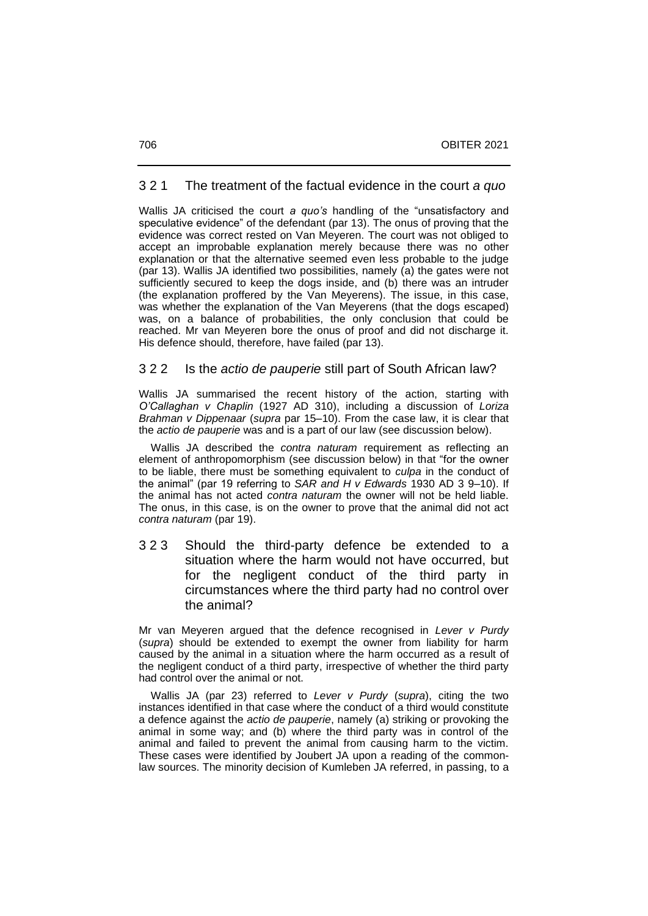#### 3 2 1 The treatment of the factual evidence in the court *a quo*

Wallis JA criticised the court *a quo's* handling of the "unsatisfactory and speculative evidence" of the defendant (par 13). The onus of proving that the evidence was correct rested on Van Meyeren. The court was not obliged to accept an improbable explanation merely because there was no other explanation or that the alternative seemed even less probable to the judge (par 13). Wallis JA identified two possibilities, namely (a) the gates were not sufficiently secured to keep the dogs inside, and (b) there was an intruder (the explanation proffered by the Van Meyerens). The issue, in this case, was whether the explanation of the Van Meyerens (that the dogs escaped) was, on a balance of probabilities, the only conclusion that could be reached. Mr van Meyeren bore the onus of proof and did not discharge it. His defence should, therefore, have failed (par 13).

#### 3 2 2 Is the *actio de pauperie* still part of South African law?

Wallis JA summarised the recent history of the action, starting with *O'Callaghan v Chaplin* (1927 AD 310), including a discussion of *Loriza Brahman v Dippenaar* (*supra* par 15–10). From the case law, it is clear that the *actio de pauperie* was and is a part of our law (see discussion below).

 Wallis JA described the *contra naturam* requirement as reflecting an element of anthropomorphism (see discussion below) in that "for the owner to be liable, there must be something equivalent to *culpa* in the conduct of the animal" (par 19 referring to *SAR and H v Edwards* 1930 AD 3 9‒10). If the animal has not acted *contra naturam* the owner will not be held liable. The onus, in this case, is on the owner to prove that the animal did not act *contra naturam* (par 19).

3 2 3 Should the third-party defence be extended to a situation where the harm would not have occurred, but for the negligent conduct of the third party in circumstances where the third party had no control over the animal?

Mr van Meyeren argued that the defence recognised in *Lever v Purdy* (*supra*) should be extended to exempt the owner from liability for harm caused by the animal in a situation where the harm occurred as a result of the negligent conduct of a third party, irrespective of whether the third party had control over the animal or not.

 Wallis JA (par 23) referred to *Lever v Purdy* (*supra*), citing the two instances identified in that case where the conduct of a third would constitute a defence against the *actio de pauperie*, namely (a) striking or provoking the animal in some way; and (b) where the third party was in control of the animal and failed to prevent the animal from causing harm to the victim. These cases were identified by Joubert JA upon a reading of the commonlaw sources. The minority decision of Kumleben JA referred, in passing, to a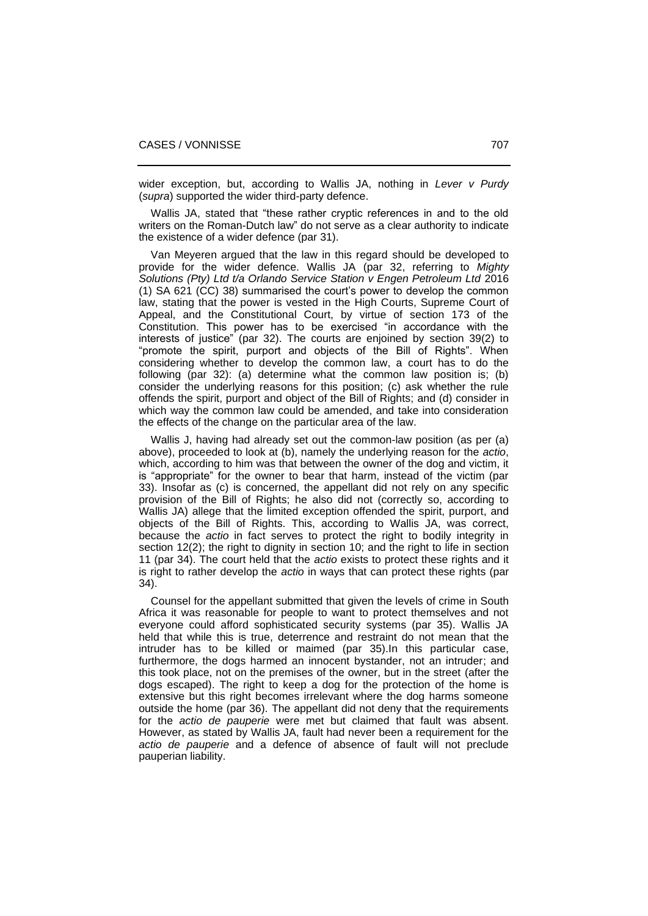wider exception, but, according to Wallis JA, nothing in *Lever v Purdy* (*supra*) supported the wider third-party defence.

 Wallis JA, stated that "these rather cryptic references in and to the old writers on the Roman-Dutch law" do not serve as a clear authority to indicate the existence of a wider defence (par 31).

 Van Meyeren argued that the law in this regard should be developed to provide for the wider defence. Wallis JA (par 32, referring to *Mighty Solutions (Pty) Ltd t/a Orlando Service Station v Engen Petroleum Ltd* 2016 (1) SA 621 (CC) 38) summarised the court's power to develop the common law, stating that the power is vested in the High Courts, Supreme Court of Appeal, and the Constitutional Court, by virtue of section 173 of the Constitution. This power has to be exercised "in accordance with the interests of justice" (par 32). The courts are enjoined by section 39(2) to "promote the spirit, purport and objects of the Bill of Rights". When considering whether to develop the common law, a court has to do the following (par 32): (a) determine what the common law position is; (b) consider the underlying reasons for this position; (c) ask whether the rule offends the spirit, purport and object of the Bill of Rights; and (d) consider in which way the common law could be amended, and take into consideration the effects of the change on the particular area of the law.

 Wallis J, having had already set out the common-law position (as per (a) above), proceeded to look at (b), namely the underlying reason for the *actio*, which, according to him was that between the owner of the dog and victim, it is "appropriate" for the owner to bear that harm, instead of the victim (par 33). Insofar as (c) is concerned, the appellant did not rely on any specific provision of the Bill of Rights; he also did not (correctly so, according to Wallis JA) allege that the limited exception offended the spirit, purport, and objects of the Bill of Rights. This, according to Wallis JA, was correct, because the *actio* in fact serves to protect the right to bodily integrity in section 12(2); the right to dignity in section 10; and the right to life in section 11 (par 34). The court held that the *actio* exists to protect these rights and it is right to rather develop the *actio* in ways that can protect these rights (par 34).

 Counsel for the appellant submitted that given the levels of crime in South Africa it was reasonable for people to want to protect themselves and not everyone could afford sophisticated security systems (par 35). Wallis JA held that while this is true, deterrence and restraint do not mean that the intruder has to be killed or maimed (par 35).In this particular case, furthermore, the dogs harmed an innocent bystander, not an intruder; and this took place, not on the premises of the owner, but in the street (after the dogs escaped). The right to keep a dog for the protection of the home is extensive but this right becomes irrelevant where the dog harms someone outside the home (par 36). The appellant did not deny that the requirements for the *actio de pauperie* were met but claimed that fault was absent. However, as stated by Wallis JA, fault had never been a requirement for the *actio de pauperie* and a defence of absence of fault will not preclude pauperian liability.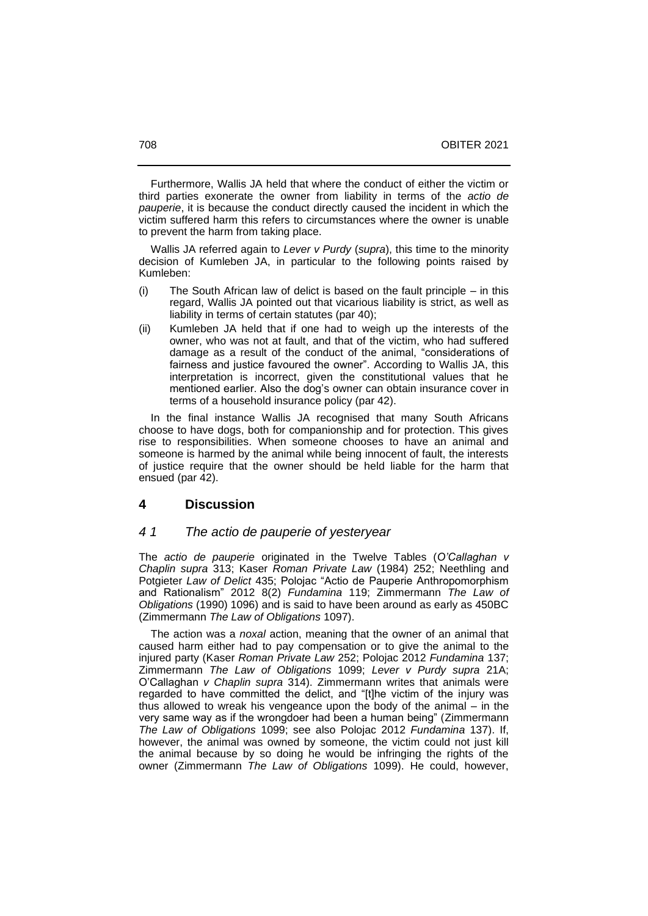Furthermore, Wallis JA held that where the conduct of either the victim or third parties exonerate the owner from liability in terms of the *actio de pauperie*, it is because the conduct directly caused the incident in which the victim suffered harm this refers to circumstances where the owner is unable to prevent the harm from taking place.

 Wallis JA referred again to *Lever v Purdy* (*supra*), this time to the minority decision of Kumleben JA, in particular to the following points raised by Kumleben:

- $(i)$  The South African law of delict is based on the fault principle  $-$  in this regard, Wallis JA pointed out that vicarious liability is strict, as well as liability in terms of certain statutes (par 40);
- (ii) Kumleben JA held that if one had to weigh up the interests of the owner, who was not at fault, and that of the victim, who had suffered damage as a result of the conduct of the animal, "considerations of fairness and justice favoured the owner". According to Wallis JA, this interpretation is incorrect, given the constitutional values that he mentioned earlier. Also the dog's owner can obtain insurance cover in terms of a household insurance policy (par 42).

 In the final instance Wallis JA recognised that many South Africans choose to have dogs, both for companionship and for protection. This gives rise to responsibilities. When someone chooses to have an animal and someone is harmed by the animal while being innocent of fault, the interests of justice require that the owner should be held liable for the harm that ensued (par 42).

#### **4 Discussion**

## *4 1 The actio de pauperie of yesteryear*

The *actio de pauperie* originated in the Twelve Tables (*O'Callaghan v Chaplin supra* 313; Kaser *Roman Private Law* (1984) 252; Neethling and Potgieter *Law of Delict* 435; Polojac "Actio de Pauperie Anthropomorphism and Rationalism" 2012 8(2) *Fundamina* 119; Zimmermann *The Law of Obligations* (1990) 1096) and is said to have been around as early as 450BC (Zimmermann *The Law of Obligations* 1097).

 The action was a *noxal* action, meaning that the owner of an animal that caused harm either had to pay compensation or to give the animal to the injured party (Kaser *Roman Private Law* 252; Polojac 2012 *Fundamina* 137; Zimmermann *The Law of Obligations* 1099; *Lever v Purdy supra* 21A; O'Callaghan *v Chaplin supra* 314). Zimmermann writes that animals were regarded to have committed the delict, and "[t]he victim of the injury was thus allowed to wreak his vengeance upon the body of the animal  $-$  in the very same way as if the wrongdoer had been a human being" (Zimmermann *The Law of Obligations* 1099; see also Polojac 2012 *Fundamina* 137). If, however, the animal was owned by someone, the victim could not just kill the animal because by so doing he would be infringing the rights of the owner (Zimmermann *The Law of Obligations* 1099). He could, however,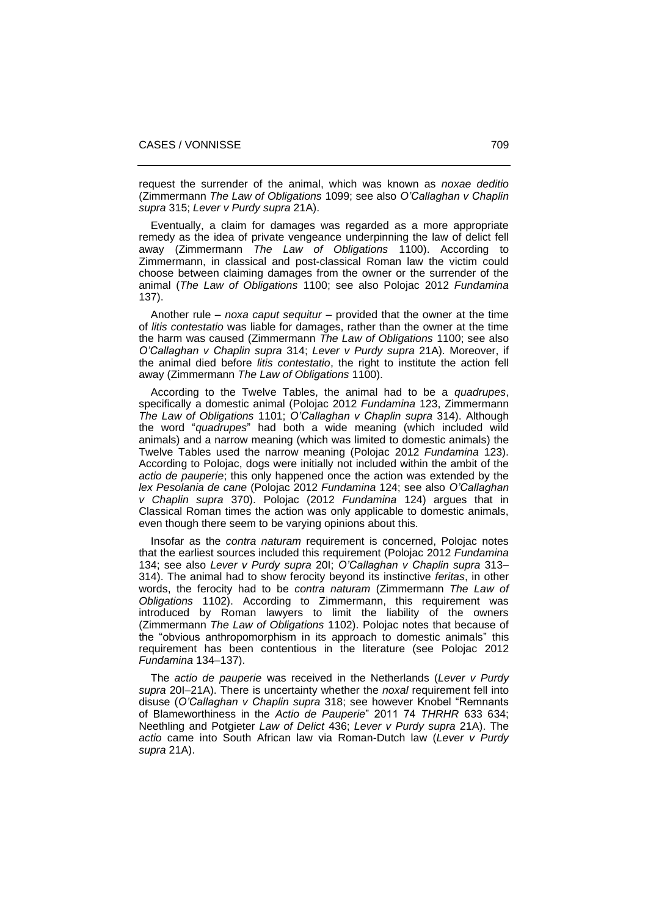request the surrender of the animal, which was known as *noxae deditio* (Zimmermann *The Law of Obligations* 1099; see also *O'Callaghan v Chaplin supra* 315; *Lever v Purdy supra* 21A).

 Eventually, a claim for damages was regarded as a more appropriate remedy as the idea of private vengeance underpinning the law of delict fell away (Zimmermann *The Law of Obligations* 1100). According to Zimmermann, in classical and post-classical Roman law the victim could choose between claiming damages from the owner or the surrender of the animal (*The Law of Obligations* 1100; see also Polojac 2012 *Fundamina* 137).

Another rule – *noxa caput sequitur* – provided that the owner at the time of *litis contestatio* was liable for damages, rather than the owner at the time the harm was caused (Zimmermann *The Law of Obligations* 1100; see also *O'Callaghan v Chaplin supra* 314; *Lever v Purdy supra* 21A). Moreover, if the animal died before *litis contestatio*, the right to institute the action fell away (Zimmermann *The Law of Obligations* 1100).

 According to the Twelve Tables, the animal had to be a *quadrupes*, specifically a domestic animal (Polojac 2012 *Fundamina* 123, Zimmermann *The Law of Obligations* 1101; *O'Callaghan v Chaplin supra* 314). Although the word "*quadrupes*" had both a wide meaning (which included wild animals) and a narrow meaning (which was limited to domestic animals) the Twelve Tables used the narrow meaning (Polojac 2012 *Fundamina* 123). According to Polojac, dogs were initially not included within the ambit of the *actio de pauperie*; this only happened once the action was extended by the *lex Pesolania de cane* (Polojac 2012 *Fundamina* 124; see also *O'Callaghan v Chaplin supra* 370). Polojac (2012 *Fundamina* 124) argues that in Classical Roman times the action was only applicable to domestic animals, even though there seem to be varying opinions about this.

 Insofar as the *contra naturam* requirement is concerned, Polojac notes that the earliest sources included this requirement (Polojac 2012 *Fundamina* 134; see also *Lever v Purdy supra* 20I; *O'Callaghan v Chaplin supra* 313– 314). The animal had to show ferocity beyond its instinctive *feritas*, in other words, the ferocity had to be *contra naturam* (Zimmermann *The Law of Obligations* 1102). According to Zimmermann, this requirement was introduced by Roman lawyers to limit the liability of the owners (Zimmermann *The Law of Obligations* 1102). Polojac notes that because of the "obvious anthropomorphism in its approach to domestic animals" this requirement has been contentious in the literature (see Polojac 2012 *Fundamina* 134–137).

 The *actio de pauperie* was received in the Netherlands (*Lever v Purdy* supra 20I-21A). There is uncertainty whether the *noxal* requirement fell into disuse (*O'Callaghan v Chaplin supra* 318; see however Knobel "Remnants of Blameworthiness in the *Actio de Pauperie*" 2011 74 *THRHR* 633 634; Neethling and Potgieter *Law of Delict* 436; *Lever v Purdy supra* 21A). The *actio* came into South African law via Roman-Dutch law (*Lever v Purdy supra* 21A).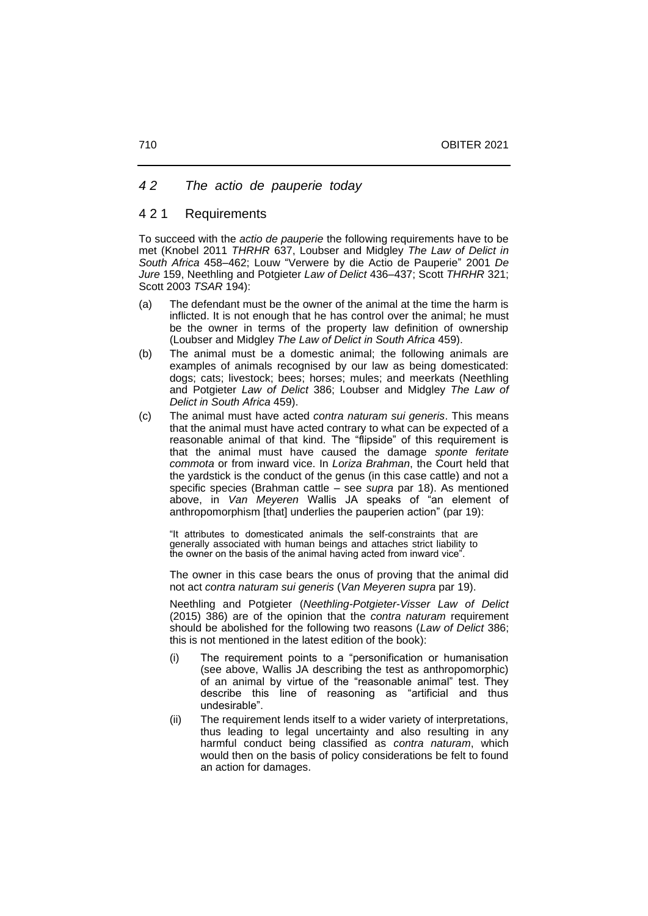## *4 2 The actio de pauperie today*

## 4 2 1 Requirements

To succeed with the *actio de pauperie* the following requirements have to be met (Knobel 2011 *THRHR* 637, Loubser and Midgley *The Law of Delict in South Africa* 458‒462; Louw "Verwere by die Actio de Pauperie" 2001 *De Jure* 159, Neethling and Potgieter *Law of Delict* 436‒437; Scott *THRHR* 321; Scott 2003 *TSAR* 194):

- (a) The defendant must be the owner of the animal at the time the harm is inflicted. It is not enough that he has control over the animal; he must be the owner in terms of the property law definition of ownership (Loubser and Midgley *The Law of Delict in South Africa* 459).
- (b) The animal must be a domestic animal; the following animals are examples of animals recognised by our law as being domesticated: dogs; cats; livestock; bees; horses; mules; and meerkats (Neethling and Potgieter *Law of Delict* 386; Loubser and Midgley *The Law of Delict in South Africa* 459).
- (c) The animal must have acted *contra naturam sui generis*. This means that the animal must have acted contrary to what can be expected of a reasonable animal of that kind. The "flipside" of this requirement is that the animal must have caused the damage *sponte feritate commota* or from inward vice. In *Loriza Brahman*, the Court held that the yardstick is the conduct of the genus (in this case cattle) and not a specific species (Brahman cattle – see *supra* par 18). As mentioned above, in *Van Meyeren* Wallis JA speaks of "an element of anthropomorphism [that] underlies the pauperien action" (par 19):

"It attributes to domesticated animals the self-constraints that are generally associated with human beings and attaches strict liability to the owner on the basis of the animal having acted from inward vice".

The owner in this case bears the onus of proving that the animal did not act *contra naturam sui generis* (*Van Meyeren supra* par 19).

Neethling and Potgieter (*Neethling-Potgieter-Visser Law of Delict*  (2015) 386) are of the opinion that the *contra naturam* requirement should be abolished for the following two reasons (*Law of Delict* 386; this is not mentioned in the latest edition of the book):

- (i) The requirement points to a "personification or humanisation (see above, Wallis JA describing the test as anthropomorphic) of an animal by virtue of the "reasonable animal" test. They describe this line of reasoning as "artificial and thus undesirable".
- (ii) The requirement lends itself to a wider variety of interpretations, thus leading to legal uncertainty and also resulting in any harmful conduct being classified as *contra naturam*, which would then on the basis of policy considerations be felt to found an action for damages.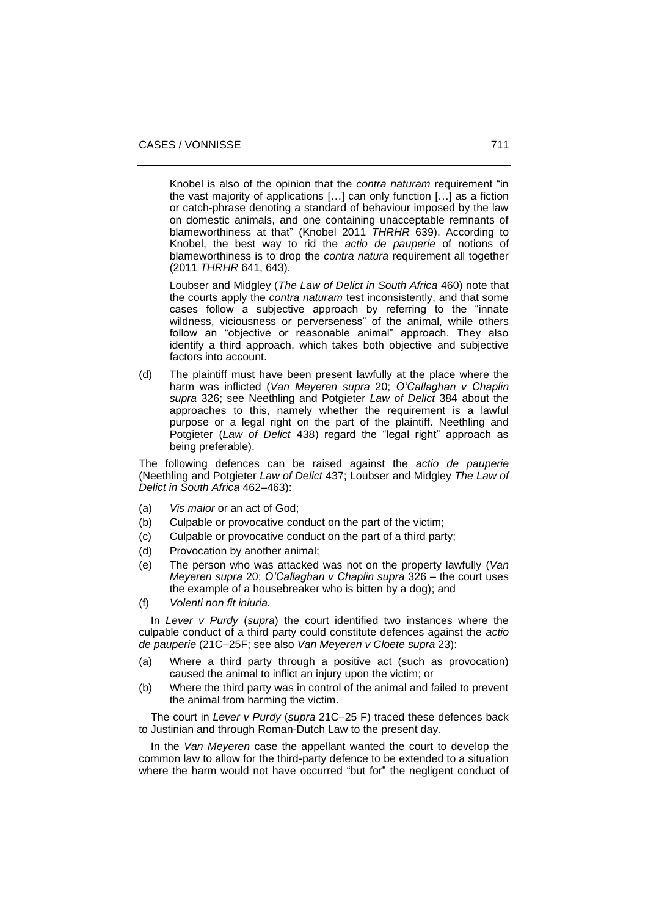Knobel is also of the opinion that the *contra naturam* requirement "in the vast majority of applications […] can only function […] as a fiction or catch-phrase denoting a standard of behaviour imposed by the law on domestic animals, and one containing unacceptable remnants of blameworthiness at that" (Knobel 2011 *THRHR* 639). According to Knobel, the best way to rid the *actio de pauperie* of notions of blameworthiness is to drop the *contra natura* requirement all together (2011 *THRHR* 641, 643).

Loubser and Midgley (*The Law of Delict in South Africa* 460) note that the courts apply the *contra naturam* test inconsistently, and that some cases follow a subjective approach by referring to the "innate wildness, viciousness or perverseness" of the animal, while others follow an "objective or reasonable animal" approach. They also identify a third approach, which takes both objective and subjective factors into account.

(d) The plaintiff must have been present lawfully at the place where the harm was inflicted (*Van Meyeren supra* 20; *O'Callaghan v Chaplin supra* 326; see Neethling and Potgieter *Law of Delict* 384 about the approaches to this, namely whether the requirement is a lawful purpose or a legal right on the part of the plaintiff. Neethling and Potgieter (*Law of Delict* 438) regard the "legal right" approach as being preferable).

The following defences can be raised against the *actio de pauperie* (Neethling and Potgieter *Law of Delict* 437; Loubser and Midgley *The Law of*  Delict in South Africa 462-463):

- (a) *Vis maior* or an act of God;
- (b) Culpable or provocative conduct on the part of the victim;
- (c) Culpable or provocative conduct on the part of a third party;
- (d) Provocation by another animal;
- (e) The person who was attacked was not on the property lawfully (*Van Meyeren supra* 20; *O'Callaghan v Chaplin supra* 326 ‒ the court uses the example of a housebreaker who is bitten by a dog); and
- (f) *Volenti non fit iniuria.*

 In *Lever v Purdy* (*supra*) the court identified two instances where the culpable conduct of a third party could constitute defences against the *actio de pauperie* (21C–25F; see also *Van Meyeren v Cloete supra* 23):

- (a) Where a third party through a positive act (such as provocation) caused the animal to inflict an injury upon the victim; or
- (b) Where the third party was in control of the animal and failed to prevent the animal from harming the victim.

 The court in *Lever v Purdy* (*supra* 21C–25 F) traced these defences back to Justinian and through Roman-Dutch Law to the present day.

 In the *Van Meyeren* case the appellant wanted the court to develop the common law to allow for the third-party defence to be extended to a situation where the harm would not have occurred "but for" the negligent conduct of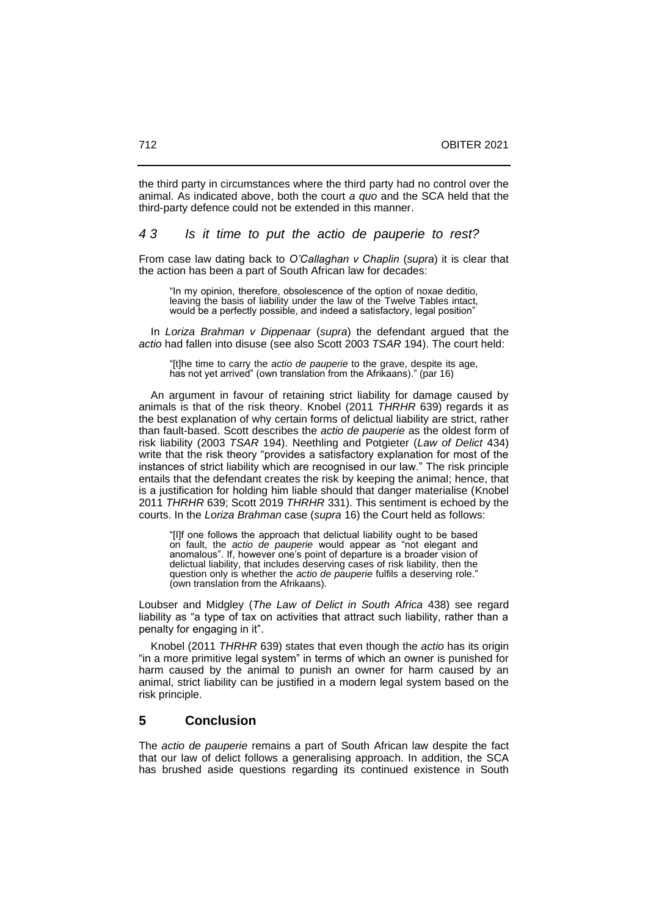the third party in circumstances where the third party had no control over the animal. As indicated above, both the court *a quo* and the SCA held that the third-party defence could not be extended in this manner.

## *4 3 Is it time to put the actio de pauperie to rest?*

From case law dating back to *O'Callaghan v Chaplin* (*supra*) it is clear that the action has been a part of South African law for decades:

"In my opinion, therefore, obsolescence of the option of noxae deditio, leaving the basis of liability under the law of the Twelve Tables intact, would be a perfectly possible, and indeed a satisfactory, legal position'

 In *Loriza Brahman v Dippenaar* (*supra*) the defendant argued that the *actio* had fallen into disuse (see also Scott 2003 *TSAR* 194). The court held:

"[t]he time to carry the *actio de pauperie* to the grave, despite its age, has not yet arrived" (own translation from the Afrikaans)." (par 16)

 An argument in favour of retaining strict liability for damage caused by animals is that of the risk theory. Knobel (2011 *THRHR* 639) regards it as the best explanation of why certain forms of delictual liability are strict, rather than fault-based. Scott describes the *actio de pauperie* as the oldest form of risk liability (2003 *TSAR* 194). Neethling and Potgieter (*Law of Delict* 434) write that the risk theory "provides a satisfactory explanation for most of the instances of strict liability which are recognised in our law." The risk principle entails that the defendant creates the risk by keeping the animal; hence, that is a justification for holding him liable should that danger materialise (Knobel 2011 *THRHR* 639; Scott 2019 *THRHR* 331). This sentiment is echoed by the courts. In the *Loriza Brahman* case (*supra* 16) the Court held as follows:

"[I]f one follows the approach that delictual liability ought to be based on fault, the *actio de pauperie* would appear as "not elegant and anomalous". If, however one's point of departure is a broader vision of delictual liability, that includes deserving cases of risk liability, then the question only is whether the *actio de pauperie* fulfils a deserving role." (own translation from the Afrikaans).

Loubser and Midgley (*The Law of Delict in South Africa* 438) see regard liability as "a type of tax on activities that attract such liability, rather than a penalty for engaging in it".

 Knobel (2011 *THRHR* 639) states that even though the *actio* has its origin "in a more primitive legal system" in terms of which an owner is punished for harm caused by the animal to punish an owner for harm caused by an animal, strict liability can be justified in a modern legal system based on the risk principle.

# **5 Conclusion**

The *actio de pauperie* remains a part of South African law despite the fact that our law of delict follows a generalising approach. In addition, the SCA has brushed aside questions regarding its continued existence in South